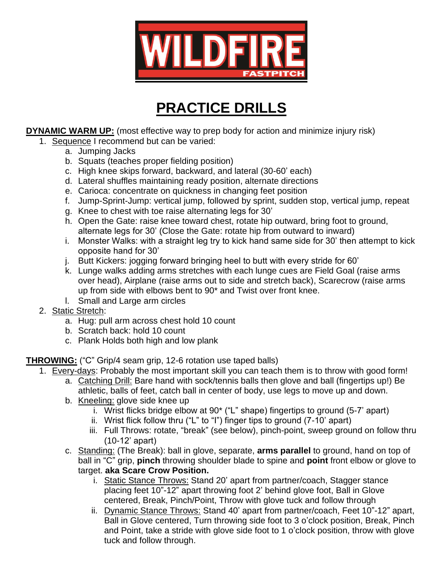

# **PRACTICE DRILLS**

**DYNAMIC WARM UP:** (most effective way to prep body for action and minimize injury risk)

- 1. Sequence I recommend but can be varied:
	- a. Jumping Jacks
	- b. Squats (teaches proper fielding position)
	- c. High knee skips forward, backward, and lateral (30-60' each)
	- d. Lateral shuffles maintaining ready position, alternate directions
	- e. Carioca: concentrate on quickness in changing feet position
	- f. Jump-Sprint-Jump: vertical jump, followed by sprint, sudden stop, vertical jump, repeat
	- g. Knee to chest with toe raise alternating legs for 30'
	- h. Open the Gate: raise knee toward chest, rotate hip outward, bring foot to ground, alternate legs for 30' (Close the Gate: rotate hip from outward to inward)
	- i. Monster Walks: with a straight leg try to kick hand same side for 30' then attempt to kick opposite hand for 30'
	- j. Butt Kickers: jogging forward bringing heel to butt with every stride for 60'
	- k. Lunge walks adding arms stretches with each lunge cues are Field Goal (raise arms over head), Airplane (raise arms out to side and stretch back), Scarecrow (raise arms up from side with elbows bent to 90\* and Twist over front knee.
	- l. Small and Large arm circles
- 2. Static Stretch:
	- a. Hug: pull arm across chest hold 10 count
	- b. Scratch back: hold 10 count
	- c. Plank Holds both high and low plank

## **THROWING:** ("C" Grip/4 seam grip, 12-6 rotation use taped balls)

- 1. Every-days: Probably the most important skill you can teach them is to throw with good form!
	- a. Catching Drill: Bare hand with sock/tennis balls then glove and ball (fingertips up!) Be athletic, balls of feet, catch ball in center of body, use legs to move up and down.
	- b. Kneeling: glove side knee up
		- i. Wrist flicks bridge elbow at 90\* ("L" shape) fingertips to ground (5-7' apart)
		- ii. Wrist flick follow thru ("L" to "I") finger tips to ground (7-10' apart)
		- iii. Full Throws: rotate, "break" (see below), pinch-point, sweep ground on follow thru (10-12' apart)
	- c. Standing: (The Break): ball in glove, separate, **arms parallel** to ground, hand on top of ball in "C" grip, **pinch** throwing shoulder blade to spine and **point** front elbow or glove to target. **aka Scare Crow Position.**
		- i. Static Stance Throws: Stand 20' apart from partner/coach, Stagger stance placing feet 10"-12" apart throwing foot 2' behind glove foot, Ball in Glove centered, Break, Pinch/Point, Throw with glove tuck and follow through
		- ii. Dynamic Stance Throws: Stand 40' apart from partner/coach, Feet 10"-12" apart, Ball in Glove centered, Turn throwing side foot to 3 o'clock position, Break, Pinch and Point, take a stride with glove side foot to 1 o'clock position, throw with glove tuck and follow through.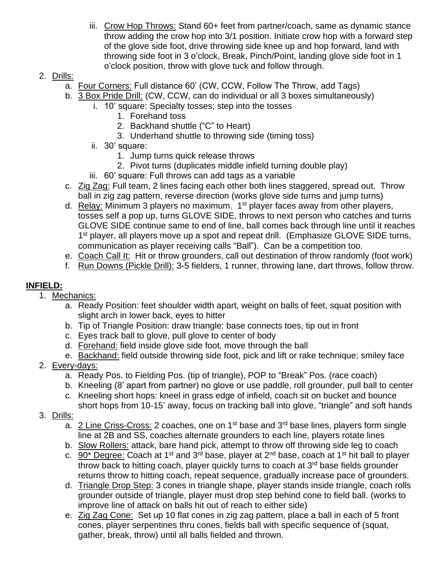- iii. Crow Hop Throws: Stand 60+ feet from partner/coach, same as dynamic stance throw adding the crow hop into 3/1 position. Initiate crow hop with a forward step of the glove side foot, drive throwing side knee up and hop forward, land with throwing side foot in 3 o'clock, Break, Pinch/Point, landing glove side foot in 1 o'clock position, throw with glove tuck and follow through.
- 2. Drills:
	- a. Four Corners: Full distance 60' (CW, CCW, Follow The Throw, add Tags)
	- b. 3 Box Pride Drill: (CW, CCW, can do individual or all 3 boxes simultaneously)
		- i. 10' square: Specialty tosses; step into the tosses
			- 1. Forehand toss
				- 2. Backhand shuttle ("C" to Heart)
			- 3. Underhand shuttle to throwing side (timing toss)
		- ii. 30' square:
			- 1. Jump turns quick release throws
			- 2. Pivot turns (duplicates middle infield turning double play)
		- iii. 60' square: Full throws can add tags as a variable
	- c. **Zig Zag: Full team, 2 lines facing each other both lines staggered, spread out. Throw** ball in zig zag pattern, reverse direction (works glove side turns and jump turns)
	- d. Relay: Minimum 3 players no maximum. 1<sup>st</sup> player faces away from other players, tosses self a pop up, turns GLOVE SIDE, throws to next person who catches and turns GLOVE SIDE continue same to end of line, ball comes back through line until it reaches 1<sup>st</sup> player, all players move up a spot and repeat drill. (Emphasize GLOVE SIDE turns, communication as player receiving calls "Ball"). Can be a competition too.
	- e. Coach Call It: Hit or throw grounders, call out destination of throw randomly (foot work)
	- f. Run Downs (Pickle Drill): 3-5 fielders, 1 runner, throwing lane, dart throws, follow throw.

# **INFIELD:**

- 1. Mechanics:
	- a. Ready Position: feet shoulder width apart, weight on balls of feet, squat position with slight arch in lower back, eyes to hitter
	- b. Tip of Triangle Position: draw triangle: base connects toes, tip out in front
	- c. Eyes track ball to glove, pull glove to center of body
	- d. Forehand: field inside glove side foot, move through the ball
	- e. Backhand: field outside throwing side foot, pick and lift or rake technique; smiley face
- 2. Every-days:
	- a. Ready Pos. to Fielding Pos. (tip of triangle), POP to "Break" Pos. (race coach)
	- b. Kneeling (8' apart from partner) no glove or use paddle, roll grounder, pull ball to center
	- c. Kneeling short hops: kneel in grass edge of infield, coach sit on bucket and bounce short hops from 10-15' away, focus on tracking ball into glove, "triangle" and soft hands
- 3. Drills:
	- a. 2 Line Criss-Cross: 2 coaches, one on  $1<sup>st</sup>$  base and  $3<sup>rd</sup>$  base lines, players form single line at 2B and SS, coaches alternate grounders to each line, players rotate lines
	- b. Slow Rollers: attack, bare hand pick, attempt to throw off throwing side leg to coach
	- c. 90\* Degree: Coach at 1<sup>st</sup> and 3<sup>rd</sup> base, player at 2<sup>nd</sup> base, coach at 1<sup>st</sup> hit ball to player throw back to hitting coach, player quickly turns to coach at 3<sup>rd</sup> base fields grounder returns throw to hitting coach, repeat sequence, gradually increase pace of grounders.
	- d. Triangle Drop Step: 3 cones in triangle shape, player stands inside triangle, coach rolls grounder outside of triangle, player must drop step behind cone to field ball. (works to improve line of attack on balls hit out of reach to either side)
	- e. Zig Zag Cone: Set up 10 flat cones in zig zag pattern, place a ball in each of 5 front cones, player serpentines thru cones, fields ball with specific sequence of (squat, gather, break, throw) until all balls fielded and thrown.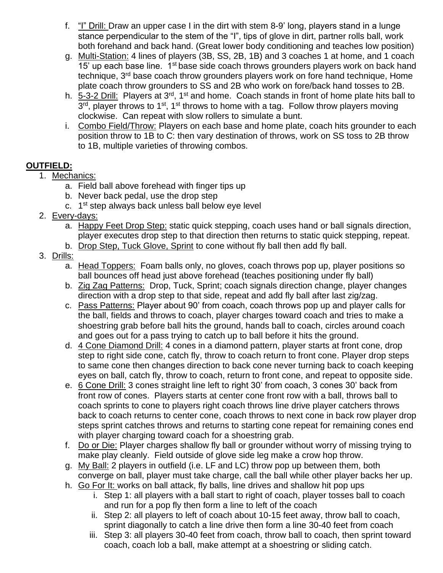- f. "I" Drill: Draw an upper case I in the dirt with stem 8-9' long, players stand in a lunge stance perpendicular to the stem of the "I", tips of glove in dirt, partner rolls ball, work both forehand and back hand. (Great lower body conditioning and teaches low position)
- g. Multi-Station: 4 lines of players (3B, SS, 2B, 1B) and 3 coaches 1 at home, and 1 coach 15' up each base line. 1<sup>st</sup> base side coach throws grounders players work on back hand technique, 3<sup>rd</sup> base coach throw grounders players work on fore hand technique, Home plate coach throw grounders to SS and 2B who work on fore/back hand tosses to 2B.
- h. 5-3-2 Drill: Players at 3<sup>rd</sup>, 1<sup>st</sup> and home. Coach stands in front of home plate hits ball to 3<sup>rd</sup>, player throws to 1<sup>st</sup>, 1<sup>st</sup> throws to home with a tag. Follow throw players moving clockwise. Can repeat with slow rollers to simulate a bunt.
- i. Combo Field/Throw: Players on each base and home plate, coach hits grounder to each position throw to 1B to C: then vary destination of throws, work on SS toss to 2B throw to 1B, multiple varieties of throwing combos.

# **OUTFIELD:**

- 1. Mechanics:
	- a. Field ball above forehead with finger tips up
	- b. Never back pedal, use the drop step
	- c. 1<sup>st</sup> step always back unless ball below eye level
- 2. Every-days:
	- a. Happy Feet Drop Step: static quick stepping, coach uses hand or ball signals direction, player executes drop step to that direction then returns to static quick stepping, repeat.
	- b. Drop Step, Tuck Glove, Sprint to cone without fly ball then add fly ball.
- 3. Drills:
	- a. Head Toppers: Foam balls only, no gloves, coach throws pop up, player positions so ball bounces off head just above forehead (teaches positioning under fly ball)
	- b. Zig Zag Patterns: Drop, Tuck, Sprint; coach signals direction change, player changes direction with a drop step to that side, repeat and add fly ball after last zig/zag.
	- c. Pass Patterns: Player about 90' from coach, coach throws pop up and player calls for the ball, fields and throws to coach, player charges toward coach and tries to make a shoestring grab before ball hits the ground, hands ball to coach, circles around coach and goes out for a pass trying to catch up to ball before it hits the ground.
	- d. 4 Cone Diamond Drill: 4 cones in a diamond pattern, player starts at front cone, drop step to right side cone, catch fly, throw to coach return to front cone. Player drop steps to same cone then changes direction to back cone never turning back to coach keeping eyes on ball, catch fly, throw to coach, return to front cone, and repeat to opposite side.
	- e. 6 Cone Drill: 3 cones straight line left to right 30' from coach, 3 cones 30' back from front row of cones. Players starts at center cone front row with a ball, throws ball to coach sprints to cone to players right coach throws line drive player catchers throws back to coach returns to center cone, coach throws to next cone in back row player drop steps sprint catches throws and returns to starting cone repeat for remaining cones end with player charging toward coach for a shoestring grab.
	- f. Do or Die: Player charges shallow fly ball or grounder without worry of missing trying to make play cleanly. Field outside of glove side leg make a crow hop throw.
	- g. My Ball: 2 players in outfield (i.e. LF and LC) throw pop up between them, both converge on ball, player must take charge, call the ball while other player backs her up.
	- h. Go For It: works on ball attack, fly balls, line drives and shallow hit pop ups
		- i. Step 1: all players with a ball start to right of coach, player tosses ball to coach and run for a pop fly then form a line to left of the coach
		- ii. Step 2: all players to left of coach about 10-15 feet away, throw ball to coach, sprint diagonally to catch a line drive then form a line 30-40 feet from coach
		- iii. Step 3: all players 30-40 feet from coach, throw ball to coach, then sprint toward coach, coach lob a ball, make attempt at a shoestring or sliding catch.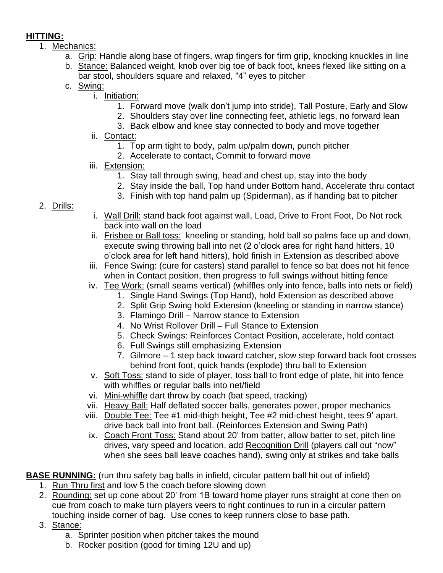# **HITTING:**

- 1. Mechanics:
	- a. Grip: Handle along base of fingers, wrap fingers for firm grip, knocking knuckles in line
	- b. Stance: Balanced weight, knob over big toe of back foot, knees flexed like sitting on a bar stool, shoulders square and relaxed, "4" eyes to pitcher
	- c. Swing:
		- i. Initiation:
			- 1. Forward move (walk don't jump into stride), Tall Posture, Early and Slow
			- 2. Shoulders stay over line connecting feet, athletic legs, no forward lean
			- 3. Back elbow and knee stay connected to body and move together
		- ii. Contact:
			- 1. Top arm tight to body, palm up/palm down, punch pitcher
			- 2. Accelerate to contact, Commit to forward move
		- iii. Extension:
			- 1. Stay tall through swing, head and chest up, stay into the body
			- 2. Stay inside the ball, Top hand under Bottom hand, Accelerate thru contact
			- 3. Finish with top hand palm up (Spiderman), as if handing bat to pitcher
- 2. Drills:
- i. Wall Drill: stand back foot against wall, Load, Drive to Front Foot, Do Not rock back into wall on the load
- ii. Frisbee or Ball toss: kneeling or standing, hold ball so palms face up and down, execute swing throwing ball into net (2 o'clock area for right hand hitters, 10 o'clock area for left hand hitters), hold finish in Extension as described above
- iii. Fence Swing: (cure for casters) stand parallel to fence so bat does not hit fence when in Contact position, then progress to full swings without hitting fence
- iv. Tee Work: (small seams vertical) (whiffles only into fence, balls into nets or field)
	- 1. Single Hand Swings (Top Hand), hold Extension as described above
	- 2. Split Grip Swing hold Extension (kneeling or standing in narrow stance)
	- 3. Flamingo Drill Narrow stance to Extension
	- 4. No Wrist Rollover Drill Full Stance to Extension
	- 5. Check Swings: Reinforces Contact Position, accelerate, hold contact
	- 6. Full Swings still emphasizing Extension
	- 7. Gilmore 1 step back toward catcher, slow step forward back foot crosses behind front foot, quick hands (explode) thru ball to Extension
- v. Soft Toss: stand to side of player, toss ball to front edge of plate, hit into fence with whiffles or regular balls into net/field
- vi. Mini-whiffle dart throw by coach (bat speed, tracking)
- vii. Heavy Ball: Half deflated soccer balls, generates power, proper mechanics
- viii. Double Tee: Tee #1 mid-thigh height, Tee #2 mid-chest height, tees 9' apart, drive back ball into front ball. (Reinforces Extension and Swing Path)
- ix. Coach Front Toss: Stand about 20' from batter, allow batter to set, pitch line drives, vary speed and location, add Recognition Drill (players call out "now" when she sees ball leave coaches hand), swing only at strikes and take balls

**BASE RUNNING:** (run thru safety bag balls in infield, circular pattern ball hit out of infield)

- 1. Run Thru first and low 5 the coach before slowing down
- 2. Rounding: set up cone about 20' from 1B toward home player runs straight at cone then on cue from coach to make turn players veers to right continues to run in a circular pattern touching inside corner of bag. Use cones to keep runners close to base path.
- 3. Stance:
	- a. Sprinter position when pitcher takes the mound
	- b. Rocker position (good for timing 12U and up)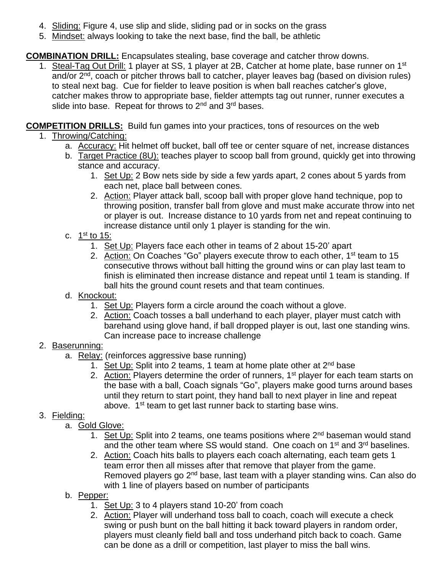- 4. Sliding: Figure 4, use slip and slide, sliding pad or in socks on the grass
- 5. Mindset: always looking to take the next base, find the ball, be athletic

## **COMBINATION DRILL:** Encapsulates stealing, base coverage and catcher throw downs.

1. Steal-Tag Out Drill: 1 player at SS, 1 player at 2B, Catcher at home plate, base runner on 1<sup>st</sup> and/or 2nd, coach or pitcher throws ball to catcher, player leaves bag (based on division rules) to steal next bag. Cue for fielder to leave position is when ball reaches catcher's glove, catcher makes throw to appropriate base, fielder attempts tag out runner, runner executes a slide into base. Repeat for throws to 2<sup>nd</sup> and 3<sup>rd</sup> bases.

## **COMPETITION DRILLS:** Build fun games into your practices, tons of resources on the web

- 1. Throwing/Catching:
	- a. Accuracy: Hit helmet off bucket, ball off tee or center square of net, increase distances
	- b. Target Practice (8U): teaches player to scoop ball from ground, quickly get into throwing stance and accuracy.
		- 1. Set Up: 2 Bow nets side by side a few yards apart, 2 cones about 5 yards from each net, place ball between cones.
		- 2. Action: Player attack ball, scoop ball with proper glove hand technique, pop to throwing position, transfer ball from glove and must make accurate throw into net or player is out. Increase distance to 10 yards from net and repeat continuing to increase distance until only 1 player is standing for the win.
	- c. <u>1st to 15:</u>
		- 1. Set Up: Players face each other in teams of 2 about 15-20' apart
		- 2. Action: On Coaches "Go" players execute throw to each other, 1<sup>st</sup> team to 15 consecutive throws without ball hitting the ground wins or can play last team to finish is eliminated then increase distance and repeat until 1 team is standing. If ball hits the ground count resets and that team continues.
	- d. Knockout:
		- 1. Set Up: Players form a circle around the coach without a glove.
		- 2. Action: Coach tosses a ball underhand to each player, player must catch with barehand using glove hand, if ball dropped player is out, last one standing wins. Can increase pace to increase challenge

## 2. Baserunning:

- a. Relay: (reinforces aggressive base running)
	- 1. Set Up: Split into 2 teams, 1 team at home plate other at  $2^{nd}$  base
	- 2. Action: Players determine the order of runners,  $1<sup>st</sup>$  player for each team starts on the base with a ball, Coach signals "Go", players make good turns around bases until they return to start point, they hand ball to next player in line and repeat above. 1<sup>st</sup> team to get last runner back to starting base wins.

## 3. Fielding:

- a. Gold Glove:
	- 1. Set Up: Split into 2 teams, one teams positions where 2<sup>nd</sup> baseman would stand and the other team where SS would stand. One coach on 1<sup>st</sup> and 3<sup>rd</sup> baselines.
	- 2. Action: Coach hits balls to players each coach alternating, each team gets 1 team error then all misses after that remove that player from the game. Removed players go  $2<sup>nd</sup>$  base, last team with a player standing wins. Can also do with 1 line of players based on number of participants
- b. Pepper:
	- 1. Set Up: 3 to 4 players stand 10-20' from coach
	- 2. Action: Player will underhand toss ball to coach, coach will execute a check swing or push bunt on the ball hitting it back toward players in random order, players must cleanly field ball and toss underhand pitch back to coach. Game can be done as a drill or competition, last player to miss the ball wins.